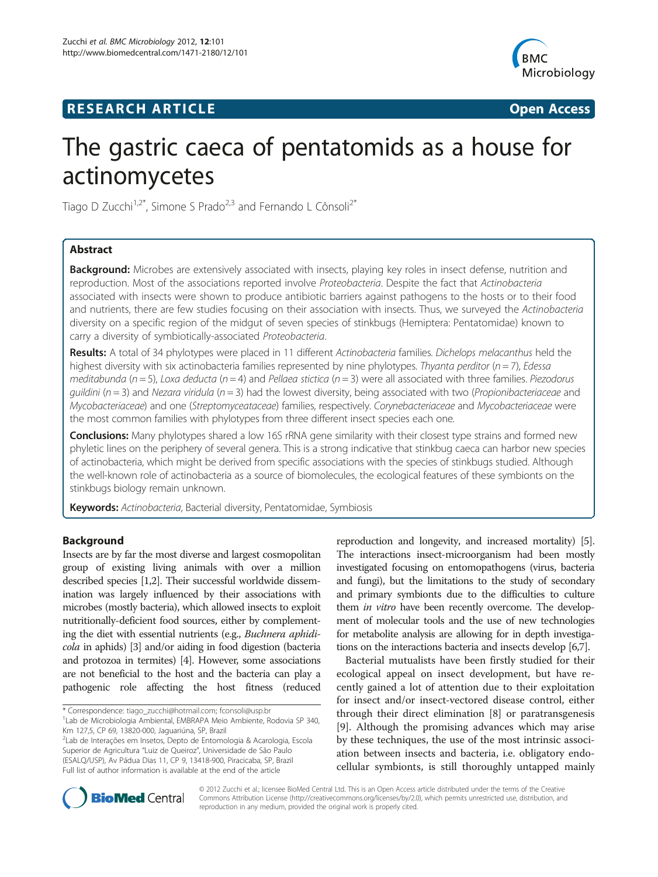# **RESEARCH ARTICLE Example 2014 CONSIDERING A RESEARCH ARTICLE**



# The gastric caeca of pentatomids as a house for actinomycetes

Tiago D Zucchi<sup>1,2\*</sup>, Simone S Prado<sup>2,3</sup> and Fernando L Cônsoli<sup>2\*</sup>

# Abstract

Background: Microbes are extensively associated with insects, playing key roles in insect defense, nutrition and reproduction. Most of the associations reported involve Proteobacteria. Despite the fact that Actinobacteria associated with insects were shown to produce antibiotic barriers against pathogens to the hosts or to their food and nutrients, there are few studies focusing on their association with insects. Thus, we surveyed the Actinobacteria diversity on a specific region of the midgut of seven species of stinkbugs (Hemiptera: Pentatomidae) known to carry a diversity of symbiotically-associated Proteobacteria.

Results: A total of 34 phylotypes were placed in 11 different Actinobacteria families. Dichelops melacanthus held the highest diversity with six actinobacteria families represented by nine phylotypes. Thyanta perditor  $(n=7)$ , Edessa meditabunda ( $n = 5$ ), Loxa deducta ( $n = 4$ ) and Pellaea stictica ( $n = 3$ ) were all associated with three families. Piezodorus quildini ( $n = 3$ ) and Nezara viridula ( $n = 3$ ) had the lowest diversity, being associated with two (Propionibacteriaceae and Mycobacteriaceae) and one (Streptomyceataceae) families, respectively. Corynebacteriaceae and Mycobacteriaceae were the most common families with phylotypes from three different insect species each one.

Conclusions: Many phylotypes shared a low 16S rRNA gene similarity with their closest type strains and formed new phyletic lines on the periphery of several genera. This is a strong indicative that stinkbug caeca can harbor new species of actinobacteria, which might be derived from specific associations with the species of stinkbugs studied. Although the well-known role of actinobacteria as a source of biomolecules, the ecological features of these symbionts on the stinkbugs biology remain unknown.

Keywords: Actinobacteria, Bacterial diversity, Pentatomidae, Symbiosis

# Background

Insects are by far the most diverse and largest cosmopolitan group of existing living animals with over a million described species [\[1,2\]](#page-5-0). Their successful worldwide dissemination was largely influenced by their associations with microbes (mostly bacteria), which allowed insects to exploit nutritionally-deficient food sources, either by complementing the diet with essential nutrients (e.g., Buchnera aphidicola in aphids) [\[3](#page-5-0)] and/or aiding in food digestion (bacteria and protozoa in termites) [\[4\]](#page-5-0). However, some associations are not beneficial to the host and the bacteria can play a pathogenic role affecting the host fitness (reduced

\* Correspondence: [tiago\\_zucchi@hotmail.com](mailto:tiago_zucchi@hotmail.com); [fconsoli@usp.br](mailto:fconsoli@usp.br) <sup>1</sup>

reproduction and longevity, and increased mortality) [[5](#page-5-0)]. The interactions insect-microorganism had been mostly investigated focusing on entomopathogens (virus, bacteria and fungi), but the limitations to the study of secondary and primary symbionts due to the difficulties to culture them *in vitro* have been recently overcome. The development of molecular tools and the use of new technologies for metabolite analysis are allowing for in depth investigations on the interactions bacteria and insects develop [[6,7](#page-5-0)].

Bacterial mutualists have been firstly studied for their ecological appeal on insect development, but have recently gained a lot of attention due to their exploitation for insect and/or insect-vectored disease control, either through their direct elimination [\[8](#page-5-0)] or paratransgenesis [[9\]](#page-5-0). Although the promising advances which may arise by these techniques, the use of the most intrinsic association between insects and bacteria, i.e. obligatory endocellular symbionts, is still thoroughly untapped mainly



© 2012 Zucchi et al.; licensee BioMed Central Ltd. This is an Open Access article distributed under the terms of the Creative Commons Attribution License [\(http://creativecommons.org/licenses/by/2.0\)](http://creativecommons.org/licenses/by/2.0), which permits unrestricted use, distribution, and reproduction in any medium, provided the original work is properly cited.

Lab de Microbiologia Ambiental, EMBRAPA Meio Ambiente, Rodovia SP 340, Km 127,5, CP 69, 13820-000, Jaguariúna, SP, Brazil

<sup>&</sup>lt;sup>2</sup>Lab de Interações em Insetos, Depto de Entomologia & Acarologia, Escola Superior de Agricultura "Luiz de Queiroz", Universidade de São Paulo (ESALQ/USP), Av Pádua Dias 11, CP 9, 13418-900, Piracicaba, SP, Brazil Full list of author information is available at the end of the article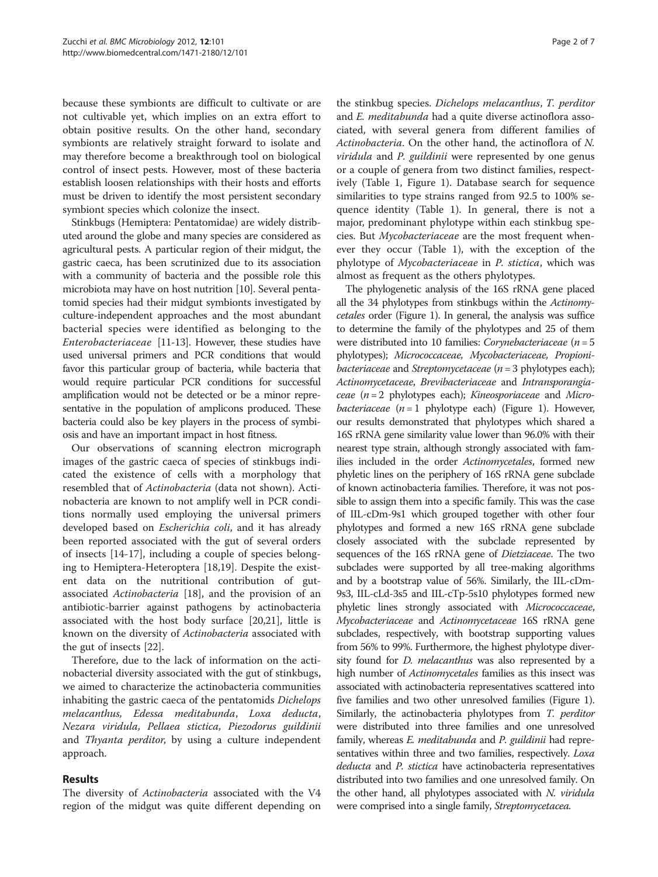because these symbionts are difficult to cultivate or are not cultivable yet, which implies on an extra effort to obtain positive results. On the other hand, secondary symbionts are relatively straight forward to isolate and may therefore become a breakthrough tool on biological control of insect pests. However, most of these bacteria establish loosen relationships with their hosts and efforts must be driven to identify the most persistent secondary symbiont species which colonize the insect.

Stinkbugs (Hemiptera: Pentatomidae) are widely distributed around the globe and many species are considered as agricultural pests. A particular region of their midgut, the gastric caeca, has been scrutinized due to its association with a community of bacteria and the possible role this microbiota may have on host nutrition [\[10](#page-5-0)]. Several pentatomid species had their midgut symbionts investigated by culture-independent approaches and the most abundant bacterial species were identified as belonging to the Enterobacteriaceae [[11](#page-5-0)[-13\]](#page-6-0). However, these studies have used universal primers and PCR conditions that would favor this particular group of bacteria, while bacteria that would require particular PCR conditions for successful amplification would not be detected or be a minor representative in the population of amplicons produced. These bacteria could also be key players in the process of symbiosis and have an important impact in host fitness.

Our observations of scanning electron micrograph images of the gastric caeca of species of stinkbugs indicated the existence of cells with a morphology that resembled that of Actinobacteria (data not shown). Actinobacteria are known to not amplify well in PCR conditions normally used employing the universal primers developed based on Escherichia coli, and it has already been reported associated with the gut of several orders of insects [[14-17](#page-6-0)], including a couple of species belonging to Hemiptera-Heteroptera [\[18,19](#page-6-0)]. Despite the existent data on the nutritional contribution of gutassociated Actinobacteria [[18](#page-6-0)], and the provision of an antibiotic-barrier against pathogens by actinobacteria associated with the host body surface [\[20,21](#page-6-0)], little is known on the diversity of Actinobacteria associated with the gut of insects [\[22](#page-6-0)].

Therefore, due to the lack of information on the actinobacterial diversity associated with the gut of stinkbugs, we aimed to characterize the actinobacteria communities inhabiting the gastric caeca of the pentatomids Dichelops melacanthus, Edessa meditabunda, Loxa deducta, Nezara viridula, Pellaea stictica, Piezodorus guildinii and Thyanta perditor, by using a culture independent approach.

#### Results

The diversity of Actinobacteria associated with the V4 region of the midgut was quite different depending on

the stinkbug species. Dichelops melacanthus, T. perditor and E. meditabunda had a quite diverse actinoflora associated, with several genera from different families of Actinobacteria. On the other hand, the actinoflora of N. viridula and P. guildinii were represented by one genus or a couple of genera from two distinct families, respectively (Table [1](#page-2-0), Figure [1\)](#page-3-0). Database search for sequence similarities to type strains ranged from 92.5 to 100% sequence identity (Table [1](#page-2-0)). In general, there is not a major, predominant phylotype within each stinkbug species. But Mycobacteriaceae are the most frequent whenever they occur (Table [1](#page-2-0)), with the exception of the phylotype of Mycobacteriaceae in P. stictica, which was almost as frequent as the others phylotypes.

The phylogenetic analysis of the 16S rRNA gene placed all the 34 phylotypes from stinkbugs within the Actinomycetales order (Figure [1\)](#page-3-0). In general, the analysis was suffice to determine the family of the phylotypes and 25 of them were distributed into 10 families: Corynebacteriaceae ( $n = 5$ phylotypes); Micrococcaceae, Mycobacteriaceae, Propionibacteriaceae and Streptomycetaceae ( $n = 3$  phylotypes each); Actinomycetaceae, Brevibacteriaceae and Intransporangiaceae  $(n = 2$  phylotypes each); *Kineosporiaceae* and *Micro*bacteriaceae  $(n = 1)$  $(n = 1)$  phylotype each) (Figure 1). However, our results demonstrated that phylotypes which shared a 16S rRNA gene similarity value lower than 96.0% with their nearest type strain, although strongly associated with families included in the order Actinomycetales, formed new phyletic lines on the periphery of 16S rRNA gene subclade of known actinobacteria families. Therefore, it was not possible to assign them into a specific family. This was the case of IIL-cDm-9s1 which grouped together with other four phylotypes and formed a new 16S rRNA gene subclade closely associated with the subclade represented by sequences of the 16S rRNA gene of Dietziaceae. The two subclades were supported by all tree-making algorithms and by a bootstrap value of 56%. Similarly, the IIL-cDm-9s3, IIL-cLd-3s5 and IIL-cTp-5s10 phylotypes formed new phyletic lines strongly associated with Micrococcaceae, Mycobacteriaceae and Actinomycetaceae 16S rRNA gene subclades, respectively, with bootstrap supporting values from 56% to 99%. Furthermore, the highest phylotype diversity found for *D. melacanthus* was also represented by a high number of *Actinomycetales* families as this insect was associated with actinobacteria representatives scattered into five families and two other unresolved families (Figure [1](#page-3-0)). Similarly, the actinobacteria phylotypes from T. perditor were distributed into three families and one unresolved family, whereas E. meditabunda and P. guildinii had representatives within three and two families, respectively. Loxa deducta and P. stictica have actinobacteria representatives distributed into two families and one unresolved family. On the other hand, all phylotypes associated with N. viridula were comprised into a single family, Streptomycetacea.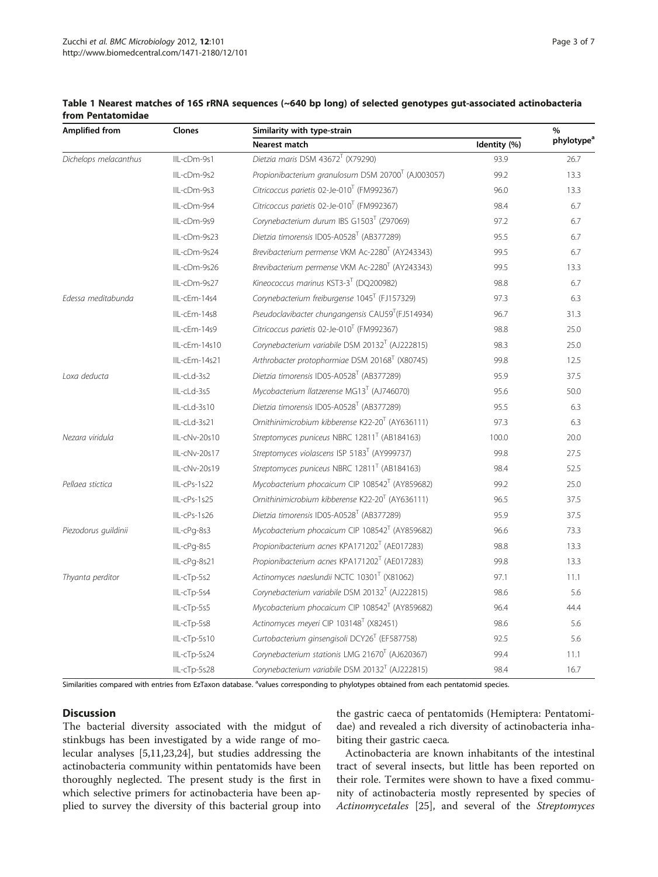| Amplified from        | Clones        | Similarity with type-strain                                    |              | %                      |
|-----------------------|---------------|----------------------------------------------------------------|--------------|------------------------|
|                       |               | Nearest match                                                  | Identity (%) | phylotype <sup>a</sup> |
| Dichelops melacanthus | IIL-cDm-9s1   | Dietzia maris DSM 43672 <sup>T</sup> (X79290)                  | 93.9         | 26.7                   |
|                       | IIL-cDm-9s2   | Propionibacterium granulosum DSM 20700 <sup>T</sup> (AJ003057) | 99.2         | 13.3                   |
|                       | IIL-cDm-9s3   | Citricoccus parietis 02-Je-010 <sup>T</sup> (FM992367)         | 96.0         | 13.3                   |
|                       | IIL-cDm-9s4   | Citricoccus parietis 02-Je-010 <sup>T</sup> (FM992367)         | 98.4         | 6.7                    |
|                       | IIL-cDm-9s9   | Corynebacterium durum IBS G1503 <sup>T</sup> (Z97069)          | 97.2         | 6.7                    |
|                       | IIL-cDm-9s23  | Dietzia timorensis ID05-A0528 <sup>T</sup> (AB377289)          | 95.5         | 6.7                    |
|                       | IIL-cDm-9s24  | Brevibacterium permense VKM Ac-2280 <sup>T</sup> (AY243343)    | 99.5         | 6.7                    |
|                       | IIL-cDm-9s26  | Brevibacterium permense VKM Ac-2280 <sup>T</sup> (AY243343)    | 99.5         | 13.3                   |
|                       | IIL-cDm-9s27  | Kineococcus marinus KST3-3 <sup>T</sup> (DQ200982)             | 98.8         | 6.7                    |
| Edessa meditabunda    | IIL-cEm-14s4  | Corynebacterium freiburgense 1045 <sup>T</sup> (FJ157329)      | 97.3         | 6.3                    |
|                       | IIL-cEm-14s8  | Pseudoclavibacter chungangensis CAU59 <sup>T</sup> (FJ514934)  | 96.7         | 31.3                   |
|                       | IIL-cEm-14s9  | Citricoccus parietis 02-Je-010 <sup>T</sup> (FM992367)         | 98.8         | 25.0                   |
|                       | IIL-cEm-14s10 | Corynebacterium variabile DSM 20132 <sup>T</sup> (AJ222815)    | 98.3         | 25.0                   |
|                       | IIL-cEm-14s21 | Arthrobacter protophormiae DSM 20168 <sup>T</sup> (X80745)     | 99.8         | 12.5                   |
| Loxa deducta          | IIL-cLd-3s2   | Dietzia timorensis ID05-A0528 <sup>T</sup> (AB377289)          | 95.9         | 37.5                   |
|                       | IIL-cLd-3s5   | Mycobacterium llatzerense MG13 <sup>T</sup> (AJ746070)         | 95.6         | 50.0                   |
|                       | IIL-cLd-3s10  | Dietzia timorensis ID05-A0528 <sup>T</sup> (AB377289)          | 95.5         | 6.3                    |
|                       | IIL-cLd-3s21  | Ornithinimicrobium kibberense K22-20 <sup>T</sup> (AY636111)   | 97.3         | 6.3                    |
| Nezara viridula       | IIL-cNv-20s10 | Streptomyces puniceus NBRC 12811 <sup>T</sup> (AB184163)       | 100.0        | 20.0                   |
|                       | IIL-cNv-20s17 | Streptomyces violascens ISP 5183 <sup>T</sup> (AY999737)       | 99.8         | 27.5                   |
|                       | IIL-cNv-20s19 | Streptomyces puniceus NBRC 12811 <sup>T</sup> (AB184163)       | 98.4         | 52.5                   |
| Pellaea stictica      | IIL-cPs-1s22  | Mycobacterium phocaicum CIP 108542 <sup>T</sup> (AY859682)     | 99.2         | 25.0                   |
|                       | IIL-cPs-1s25  | Ornithinimicrobium kibberense K22-20 <sup>T</sup> (AY636111)   | 96.5         | 37.5                   |
|                       | IIL-cPs-1s26  | Dietzia timorensis ID05-A0528 <sup>T</sup> (AB377289)          | 95.9         | 37.5                   |
| Piezodorus quildinii  | IIL-cPg-8s3   | Mycobacterium phocaicum CIP 108542 <sup>T</sup> (AY859682)     | 96.6         | 73.3                   |
|                       | IIL-cPq-8s5   | Propionibacterium acnes KPA171202 <sup>T</sup> (AE017283)      | 98.8         | 13.3                   |
|                       | IIL-cPq-8s21  | Propionibacterium acnes KPA171202 <sup>T</sup> (AE017283)      | 99.8         | 13.3                   |
| Thyanta perditor      | IIL-cTp-5s2   | Actinomyces naeslundii NCTC 10301 <sup>T</sup> (X81062)        | 97.1         | 11.1                   |
|                       | IIL-cTp-5s4   | Corynebacterium variabile DSM 20132 <sup>T</sup> (AJ222815)    | 98.6         | 5.6                    |
|                       | IIL-cTp-5s5   | Mycobacterium phocaicum CIP 108542 <sup>T</sup> (AY859682)     | 96.4         | 44.4                   |
|                       | IIL-cTp-5s8   | Actinomyces meyeri CIP 103148 <sup>T</sup> (X82451)            | 98.6         | 5.6                    |
|                       | IIL-cTp-5s10  | Curtobacterium ginsengisoli DCY26 <sup>T</sup> (EF587758)      | 92.5         | 5.6                    |
|                       | IIL-cTp-5s24  | Corynebacterium stationis LMG 21670 <sup>T</sup> (AJ620367)    | 99.4         | 11.1                   |
|                       | IIL-cTp-5s28  | Corynebacterium variabile DSM 20132 <sup>T</sup> (AJ222815)    | 98.4         | 16.7                   |

# <span id="page-2-0"></span>Table 1 Nearest matches of 16S rRNA sequences (~640 bp long) of selected genotypes gut-associated actinobacteria from Pentatomidae

Similarities compared with entries from EzTaxon database. <sup>a</sup>values corresponding to phylotypes obtained from each pentatomid species.

## **Discussion**

The bacterial diversity associated with the midgut of stinkbugs has been investigated by a wide range of molecular analyses [\[5,11](#page-5-0)[,23,24\]](#page-6-0), but studies addressing the actinobacteria community within pentatomids have been thoroughly neglected. The present study is the first in which selective primers for actinobacteria have been applied to survey the diversity of this bacterial group into

the gastric caeca of pentatomids (Hemiptera: Pentatomidae) and revealed a rich diversity of actinobacteria inhabiting their gastric caeca.

Actinobacteria are known inhabitants of the intestinal tract of several insects, but little has been reported on their role. Termites were shown to have a fixed community of actinobacteria mostly represented by species of Actinomycetales [[25\]](#page-6-0), and several of the Streptomyces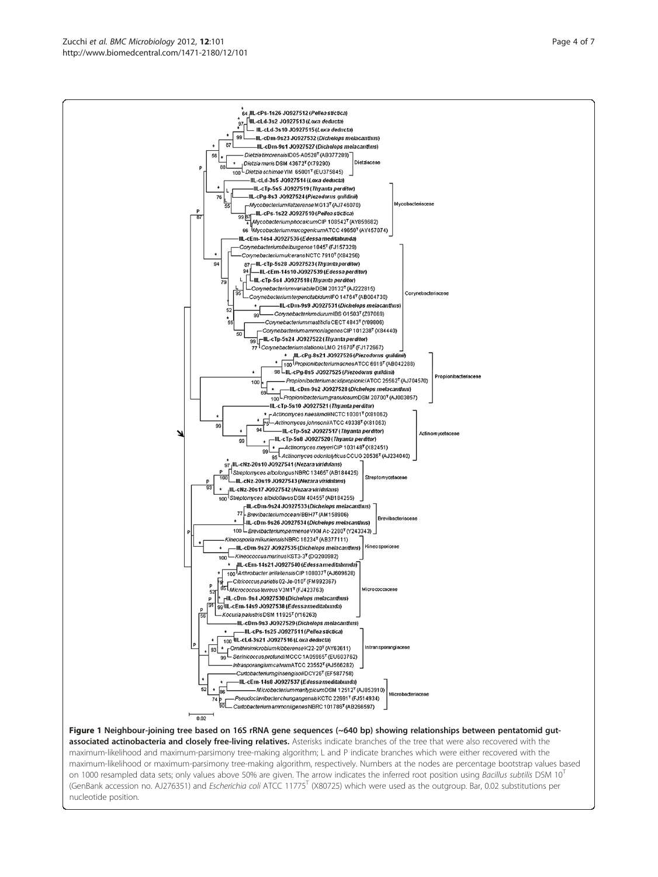<span id="page-3-0"></span>Zucchi et al. BMC Microbiology 2012, 12:101 http://www.biomedcentral.com/1471-2180/12/101



associated actinobacteria and closely free-living relatives. Asterisks indicate branches of the tree that were also recovered with the maximum-likelihood and maximum-parsimony tree-making algorithm; L and P indicate branches which were either recovered with the maximum-likelihood or maximum-parsimony tree-making algorithm, respectively. Numbers at the nodes are percentage bootstrap values based on 1000 resampled data sets; only values above 50% are given. The arrow indicates the inferred root position using Bacillus subtilis DSM  $10^T$ (GenBank accession no. AJ276351) and Escherichia coli ATCC 11775<sup>T</sup> (X80725) which were used as the outgroup. Bar, 0.02 substitutions per nucleotide position.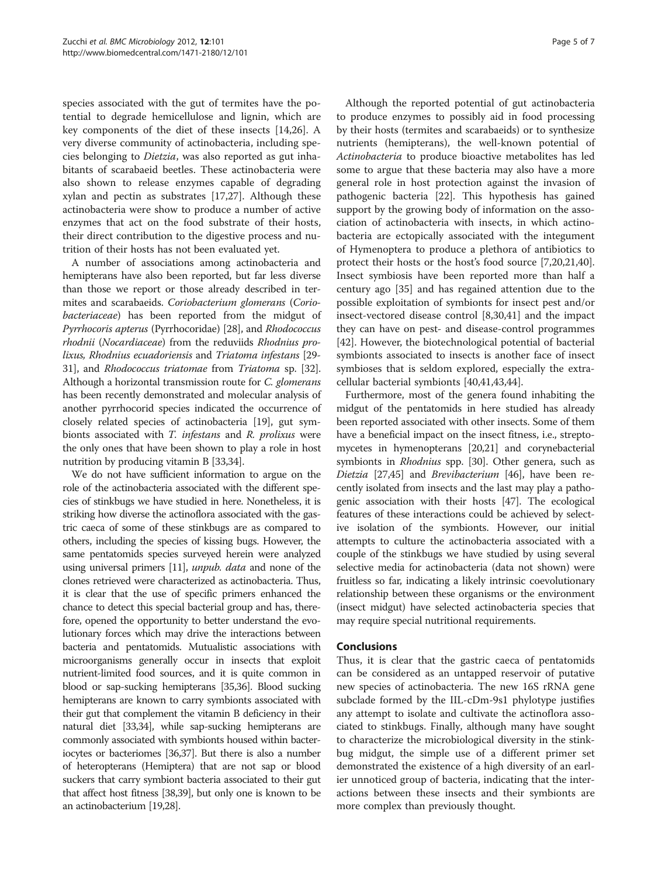species associated with the gut of termites have the potential to degrade hemicellulose and lignin, which are key components of the diet of these insects [\[14,26\]](#page-6-0). A very diverse community of actinobacteria, including species belonging to Dietzia, was also reported as gut inhabitants of scarabaeid beetles. These actinobacteria were also shown to release enzymes capable of degrading xylan and pectin as substrates [\[17,27](#page-6-0)]. Although these actinobacteria were show to produce a number of active enzymes that act on the food substrate of their hosts, their direct contribution to the digestive process and nutrition of their hosts has not been evaluated yet.

A number of associations among actinobacteria and hemipterans have also been reported, but far less diverse than those we report or those already described in termites and scarabaeids. Coriobacterium glomerans (Coriobacteriaceae) has been reported from the midgut of Pyrrhocoris apterus (Pyrrhocoridae) [\[28\]](#page-6-0), and Rhodococcus rhodnii (Nocardiaceae) from the reduviids Rhodnius prolixus, Rhodnius ecuadoriensis and Triatoma infestans [\[29-](#page-6-0) [31](#page-6-0)], and Rhodococcus triatomae from Triatoma sp. [[32](#page-6-0)]. Although a horizontal transmission route for C. glomerans has been recently demonstrated and molecular analysis of another pyrrhocorid species indicated the occurrence of closely related species of actinobacteria [\[19\]](#page-6-0), gut symbionts associated with T. infestans and R. prolixus were the only ones that have been shown to play a role in host nutrition by producing vitamin B [[33,34](#page-6-0)].

We do not have sufficient information to argue on the role of the actinobacteria associated with the different species of stinkbugs we have studied in here. Nonetheless, it is striking how diverse the actinoflora associated with the gastric caeca of some of these stinkbugs are as compared to others, including the species of kissing bugs. However, the same pentatomids species surveyed herein were analyzed using universal primers [[11](#page-5-0)], unpub. data and none of the clones retrieved were characterized as actinobacteria. Thus, it is clear that the use of specific primers enhanced the chance to detect this special bacterial group and has, therefore, opened the opportunity to better understand the evolutionary forces which may drive the interactions between bacteria and pentatomids. Mutualistic associations with microorganisms generally occur in insects that exploit nutrient-limited food sources, and it is quite common in blood or sap-sucking hemipterans [[35,36\]](#page-6-0). Blood sucking hemipterans are known to carry symbionts associated with their gut that complement the vitamin B deficiency in their natural diet [\[33,34\]](#page-6-0), while sap-sucking hemipterans are commonly associated with symbionts housed within bacteriocytes or bacteriomes [[36,37](#page-6-0)]. But there is also a number of heteropterans (Hemiptera) that are not sap or blood suckers that carry symbiont bacteria associated to their gut that affect host fitness [\[38,39](#page-6-0)], but only one is known to be an actinobacterium [[19,28](#page-6-0)].

Although the reported potential of gut actinobacteria to produce enzymes to possibly aid in food processing by their hosts (termites and scarabaeids) or to synthesize nutrients (hemipterans), the well-known potential of Actinobacteria to produce bioactive metabolites has led some to argue that these bacteria may also have a more general role in host protection against the invasion of pathogenic bacteria [\[22\]](#page-6-0). This hypothesis has gained support by the growing body of information on the association of actinobacteria with insects, in which actinobacteria are ectopically associated with the integument of Hymenoptera to produce a plethora of antibiotics to protect their hosts or the host's food source [\[7](#page-5-0),[20,21,40](#page-6-0)]. Insect symbiosis have been reported more than half a century ago [[35\]](#page-6-0) and has regained attention due to the possible exploitation of symbionts for insect pest and/or insect-vectored disease control [\[8](#page-5-0),[30](#page-6-0),[41](#page-6-0)] and the impact they can have on pest- and disease-control programmes [[42\]](#page-6-0). However, the biotechnological potential of bacterial symbionts associated to insects is another face of insect symbioses that is seldom explored, especially the extracellular bacterial symbionts [[40,41,43,44\]](#page-6-0).

Furthermore, most of the genera found inhabiting the midgut of the pentatomids in here studied has already been reported associated with other insects. Some of them have a beneficial impact on the insect fitness, i.e., streptomycetes in hymenopterans [[20,21](#page-6-0)] and corynebacterial symbionts in *Rhodnius* spp. [\[30\]](#page-6-0). Other genera, such as Dietzia [\[27,45\]](#page-6-0) and Brevibacterium [\[46\]](#page-6-0), have been recently isolated from insects and the last may play a pathogenic association with their hosts [\[47\]](#page-6-0). The ecological features of these interactions could be achieved by selective isolation of the symbionts. However, our initial attempts to culture the actinobacteria associated with a couple of the stinkbugs we have studied by using several selective media for actinobacteria (data not shown) were fruitless so far, indicating a likely intrinsic coevolutionary relationship between these organisms or the environment (insect midgut) have selected actinobacteria species that may require special nutritional requirements.

## Conclusions

Thus, it is clear that the gastric caeca of pentatomids can be considered as an untapped reservoir of putative new species of actinobacteria. The new 16S rRNA gene subclade formed by the IIL-cDm-9s1 phylotype justifies any attempt to isolate and cultivate the actinoflora associated to stinkbugs. Finally, although many have sought to characterize the microbiological diversity in the stinkbug midgut, the simple use of a different primer set demonstrated the existence of a high diversity of an earlier unnoticed group of bacteria, indicating that the interactions between these insects and their symbionts are more complex than previously thought.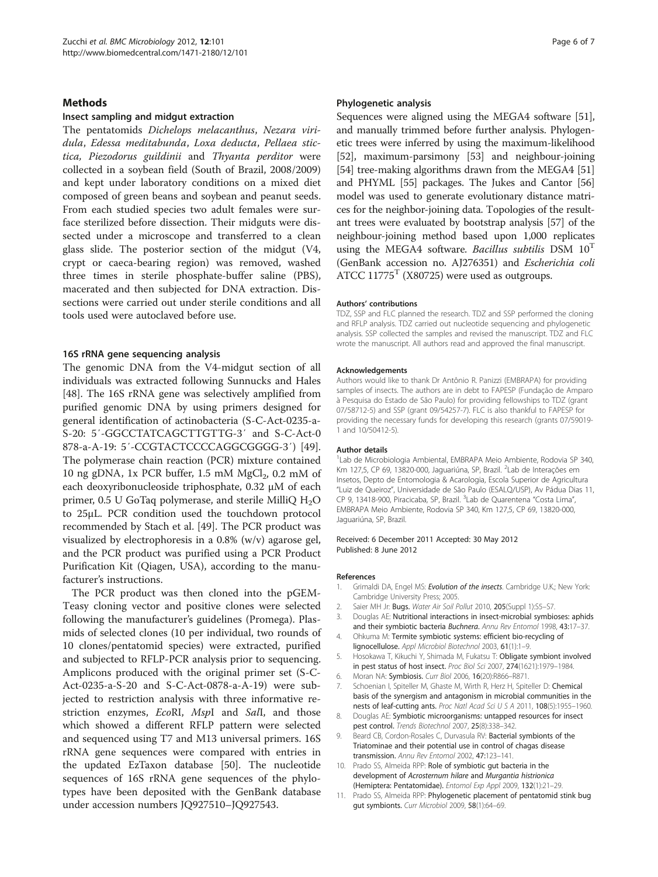#### <span id="page-5-0"></span>**Methods**

#### Insect sampling and midgut extraction

The pentatomids Dichelops melacanthus, Nezara viridula, Edessa meditabunda, Loxa deducta, Pellaea stictica, Piezodorus guildinii and Thyanta perditor were collected in a soybean field (South of Brazil, 2008/2009) and kept under laboratory conditions on a mixed diet composed of green beans and soybean and peanut seeds. From each studied species two adult females were surface sterilized before dissection. Their midguts were dissected under a microscope and transferred to a clean glass slide. The posterior section of the midgut (V4, crypt or caeca-bearing region) was removed, washed three times in sterile phosphate-buffer saline (PBS), macerated and then subjected for DNA extraction. Dissections were carried out under sterile conditions and all tools used were autoclaved before use.

#### 16S rRNA gene sequencing analysis

The genomic DNA from the V4-midgut section of all individuals was extracted following Sunnucks and Hales [[48\]](#page-6-0). The 16S rRNA gene was selectively amplified from purified genomic DNA by using primers designed for general identification of actinobacteria (S-C-Act-0235-a-S-20: 5′-GGCCTATCAGCTTGTTG-3′ and S-C-Act-0 878-a-A-19: 5′-CCGTACTCCCCAGGCGGGG-3′) [\[49](#page-6-0)]. The polymerase chain reaction (PCR) mixture contained 10 ng gDNA, 1x PCR buffer, 1.5 mM  $MgCl<sub>2</sub>$ , 0.2 mM of each deoxyribonucleoside triphosphate, 0.32 μM of each primer,  $0.5$  U GoTaq polymerase, and sterile MilliQ  $H_2O$ to 25μL. PCR condition used the touchdown protocol recommended by Stach et al. [[49\]](#page-6-0). The PCR product was visualized by electrophoresis in a 0.8% (w/v) agarose gel, and the PCR product was purified using a PCR Product Purification Kit (Qiagen, USA), according to the manufacturer's instructions.

The PCR product was then cloned into the pGEM-Teasy cloning vector and positive clones were selected following the manufacturer's guidelines (Promega). Plasmids of selected clones (10 per individual, two rounds of 10 clones/pentatomid species) were extracted, purified and subjected to RFLP-PCR analysis prior to sequencing. Amplicons produced with the original primer set (S-C-Act-0235-a-S-20 and S-C-Act-0878-a-A-19) were subjected to restriction analysis with three informative restriction enzymes, EcoRI, MspI and SalI, and those which showed a different RFLP pattern were selected and sequenced using T7 and M13 universal primers. 16S rRNA gene sequences were compared with entries in the updated EzTaxon database [[50\]](#page-6-0). The nucleotide sequences of 16S rRNA gene sequences of the phylotypes have been deposited with the GenBank database under accession numbers JQ927510–JQ927543.

#### Phylogenetic analysis

Sequences were aligned using the MEGA4 software [[51](#page-6-0)], and manually trimmed before further analysis. Phylogenetic trees were inferred by using the maximum-likelihood [[52](#page-6-0)], maximum-parsimony [[53](#page-6-0)] and neighbour-joining [[54](#page-6-0)] tree-making algorithms drawn from the MEGA4 [[51](#page-6-0)] and PHYML [\[55\]](#page-6-0) packages. The Jukes and Cantor [[56](#page-6-0)] model was used to generate evolutionary distance matrices for the neighbor-joining data. Topologies of the resultant trees were evaluated by bootstrap analysis [\[57](#page-6-0)] of the neighbour-joining method based upon 1,000 replicates using the MEGA4 software. Bacillus subtilis DSM  $10^T$ (GenBank accession no. AJ276351) and Escherichia coli ATCC  $11775<sup>T</sup>$  (X80725) were used as outgroups.

#### Authors' contributions

TDZ, SSP and FLC planned the research. TDZ and SSP performed the cloning and RFLP analysis. TDZ carried out nucleotide sequencing and phylogenetic analysis. SSP collected the samples and revised the manuscript. TDZ and FLC wrote the manuscript. All authors read and approved the final manuscript.

#### Acknowledgements

Authors would like to thank Dr Antônio R. Panizzi (EMBRAPA) for providing samples of insects. The authors are in debt to FAPESP (Fundação de Amparo à Pesquisa do Estado de São Paulo) for providing fellowships to TDZ (grant 07/58712-5) and SSP (grant 09/54257-7). FLC is also thankful to FAPESP for providing the necessary funds for developing this research (grants 07/59019- 1 and 10/50412-5).

#### Author details

<sup>1</sup> Lab de Microbiologia Ambiental, EMBRAPA Meio Ambiente, Rodovia SP 340, Km 127,5, CP 69, 13820-000, Jaguariúna, SP, Brazil. <sup>2</sup> Lab de Interações em Insetos, Depto de Entomologia & Acarologia, Escola Superior de Agricultura "Luiz de Queiroz", Universidade de São Paulo (ESALQ/USP), Av Pádua Dias 11, CP 9, 13418-900, Piracicaba, SP, Brazil. <sup>3</sup>Lab de Quarentena "Costa Lima", EMBRAPA Meio Ambiente, Rodovia SP 340, Km 127,5, CP 69, 13820-000, Jaguariúna, SP, Brazil.

#### Received: 6 December 2011 Accepted: 30 May 2012 Published: 8 June 2012

#### References

- Grimaldi DA, Engel MS: Evolution of the insects. Cambridge U.K.; New York: Cambridge University Press; 2005.
- 2. Saier MH Jr: Bugs. Water Air Soil Pollut 2010, 205(Suppl 1):S5-S7.
- 3. Douglas AE: Nutritional interactions in insect-microbial symbioses: aphids and their symbiotic bacteria Buchnera. Annu Rev Entomol 1998, 43:17–37.
- 4. Ohkuma M: Termite symbiotic systems: efficient bio-recycling of lignocellulose. Appl Microbiol Biotechnol 2003, 61(1):1–9.
- 5. Hosokawa T, Kikuchi Y, Shimada M, Fukatsu T: Obligate symbiont involved in pest status of host insect. Proc Biol Sci 2007, 274(1621):1979–1984.
- 6. Moran NA: Symbiosis. Curr Biol 2006, 16(20):R866–R871.
- 7. Schoenian I, Spiteller M, Ghaste M, Wirth R, Herz H, Spiteller D: Chemical basis of the synergism and antagonism in microbial communities in the nests of leaf-cutting ants. Proc Natl Acad Sci U S A 2011, 108(5):1955–1960.
- 8. Douglas AE: Symbiotic microorganisms: untapped resources for insect pest control. Trends Biotechnol 2007, 25(8):338–342.
- Beard CB, Cordon-Rosales C, Durvasula RV: Bacterial symbionts of the Triatominae and their potential use in control of chagas disease transmission. Annu Rev Entomol 2002, 47:123–141.
- 10. Prado SS, Almeida RPP: Role of symbiotic gut bacteria in the development of Acrosternum hilare and Murgantia histrionica (Hemiptera: Pentatomidae). Entomol Exp Appl 2009, 132(1):21–29.
- 11. Prado SS, Almeida RPP: Phylogenetic placement of pentatomid stink bug gut symbionts. Curr Microbiol 2009, 58(1):64–69.